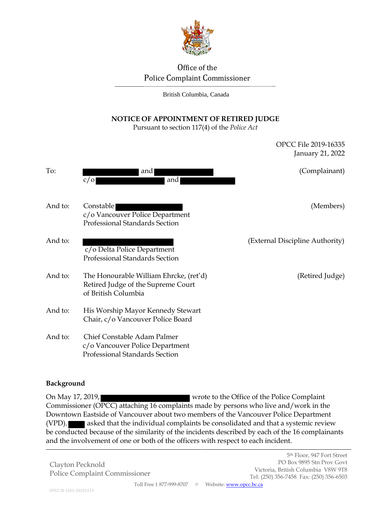

# Office of the Police Complaint Commissioner

British Columbia, Canada

## **NOTICE OF APPOINTMENT OF RETIRED JUDGE**

Pursuant to section 117(4) of the *Police Act*

|         |                                                                                                     | January 21, 2022                |
|---------|-----------------------------------------------------------------------------------------------------|---------------------------------|
| To:     | and<br>c/O<br>and                                                                                   | (Complainant)                   |
| And to: | Constable<br>c/o Vancouver Police Department<br>Professional Standards Section                      | (Members)                       |
| And to: | c/o Delta Police Department<br>Professional Standards Section                                       | (External Discipline Authority) |
| And to: | The Honourable William Ehrcke, (ret'd)<br>Retired Judge of the Supreme Court<br>of British Columbia | (Retired Judge)                 |
| And to: | His Worship Mayor Kennedy Stewart<br>Chair, c/o Vancouver Police Board                              |                                 |
| And to: | Chief Constable Adam Palmer<br>c/o Vancouver Police Department<br>Professional Standards Section    |                                 |

#### **Background**

On May 17, 2019, wrote to the Office of the Police Complaint Commissioner (OPCC) attaching 16 complaints made by persons who live and/work in the Downtown Eastside of Vancouver about two members of the Vancouver Police Department (VPD). asked that the individual complaints be consolidated and that a systemic review be conducted because of the similarity of the incidents described by each of the 16 complainants and the involvement of one or both of the officers with respect to each incident.

Clayton Pecknold Police Complaint Commissioner OPCC File 2019-16335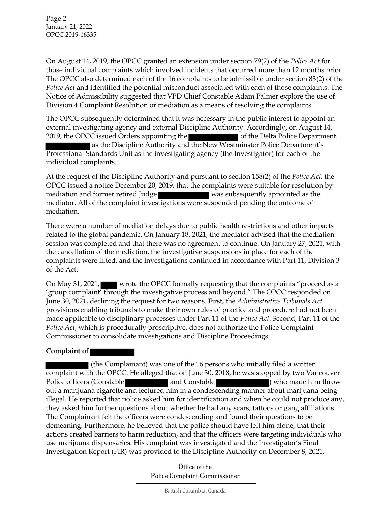Page 2 January 21, 2022 OPCC 2019-16335

On August 14, 2019, the OPCC granted an extension under section 79(2) of the *Police Act* for those individual complaints which involved incidents that occurred more than 12 months prior. The OPCC also determined each of the 16 complaints to be admissible under section 83(2) of the *Police Act* and identified the potential misconduct associated with each of those complaints. The Notice of Admissibility suggested that VPD Chief Constable Adam Palmer explore the use of Division 4 Complaint Resolution or mediation as a means of resolving the complaints.

The OPCC subsequently determined that it was necessary in the public interest to appoint an external investigating agency and external Discipline Authority. Accordingly, on August 14, 2019, the OPCC issued Orders appointing the of the Delta Police Department as the Discipline Authority and the New Westminster Police Department's Professional Standards Unit as the investigating agency (the Investigator) for each of the individual complaints.

At the request of the Discipline Authority and pursuant to section 158(2) of the *Police Act,* the OPCC issued a notice December 20, 2019, that the complaints were suitable for resolution by mediation and former retired Judge **was subsequently appointed as the** mediator. All of the complaint investigations were suspended pending the outcome of mediation.

There were a number of mediation delays due to public health restrictions and other impacts related to the global pandemic. On January 18, 2021, the mediator advised that the mediation session was completed and that there was no agreement to continue. On January 27, 2021, with the cancellation of the mediation, the investigative suspensions in place for each of the complaints were lifted, and the investigations continued in accordance with Part 11, Division 3 of the Act.

On May 31, 2021, wrote the OPCC formally requesting that the complaints "proceed as a 'group complaint' through the investigative process and beyond." The OPCC responded on June 30, 2021, declining the request for two reasons. First, the *Administrative Tribunals Act* provisions enabling tribunals to make their own rules of practice and procedure had not been made applicable to disciplinary processes under Part 11 of the *Police Act*. Second, Part 11 of the *Police Act*, which is procedurally proscriptive, does not authorize the Police Complaint Commissioner to consolidate investigations and Discipline Proceedings.

#### **Complaint of**

(the Complainant) was one of the 16 persons who initially filed a written complaint with the OPCC. He alleged that on June 30, 2018, he was stopped by two Vancouver Police officers (Constable **and Constable 1996)** who made him throw out a marijuana cigarette and lectured him in a condescending manner about marijuana being illegal. He reported that police asked him for identification and when he could not produce any, they asked him further questions about whether he had any scars, tattoos or gang affiliations. The Complainant felt the officers were condescending and found their questions to be demeaning. Furthermore, he believed that the police should have left him alone, that their actions created barriers to harm reduction, and that the officers were targeting individuals who use marijuana dispensaries. His complaint was investigated and the Investigator's Final Investigation Report (FIR) was provided to the Discipline Authority on December 8, 2021.

> Office of the Police Complaint Commissioner

> > British Columbia, Canada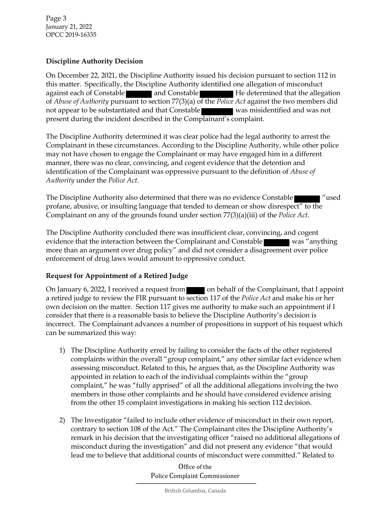Page 3 January 21, 2022 OPCC 2019-16335

### **Discipline Authority Decision**

On December 22, 2021, the Discipline Authority issued his decision pursuant to section 112 in this matter. Specifically, the Discipline Authority identified one allegation of misconduct against each of Constable **and Constable and Constable Accept** He determined that the allegation of *Abuse of Authority* pursuant to section 77(3)(a) of the *Police Act* against the two members did not appear to be substantiated and that Constable was misidentified and was not present during the incident described in the Complainant's complaint.

The Discipline Authority determined it was clear police had the legal authority to arrest the Complainant in these circumstances. According to the Discipline Authority, while other police may not have chosen to engage the Complainant or may have engaged him in a different manner, there was no clear, convincing, and cogent evidence that the detention and identification of the Complainant was oppressive pursuant to the definition of *Abuse of Authority* under the *Police Act*.

The Discipline Authority also determined that there was no evidence Constable "used profane, abusive, or insulting language that tended to demean or show disrespect" to the Complainant on any of the grounds found under section 77(3)(a)(iii) of the *Police Act*.

The Discipline Authority concluded there was insufficient clear, convincing, and cogent evidence that the interaction between the Complainant and Constable was "anything" more than an argument over drug policy" and did not consider a disagreement over police enforcement of drug laws would amount to oppressive conduct.

## **Request for Appointment of a Retired Judge**

On January 6, 2022, I received a request from on behalf of the Complainant, that I appoint a retired judge to review the FIR pursuant to section 117 of the *Police Act* and make his or her own decision on the matter. Section 117 gives me authority to make such an appointment if I consider that there is a reasonable basis to believe the Discipline Authority's decision is incorrect. The Complainant advances a number of propositions in support of his request which can be summarized this way:

- 1) The Discipline Authority erred by failing to consider the facts of the other registered complaints within the overall "group complaint," any other similar fact evidence when assessing misconduct. Related to this, he argues that, as the Discipline Authority was appointed in relation to each of the individual complaints within the "group complaint," he was "fully apprised" of all the additional allegations involving the two members in those other complaints and he should have considered evidence arising from the other 15 complaint investigations in making his section 112 decision.
- 2) The Investigator "failed to include other evidence of misconduct in their own report, contrary to section 108 of the Act." The Complainant cites the Discipline Authority's remark in his decision that the investigating officer "raised no additional allegations of misconduct during the investigation" and did not present any evidence "that would lead me to believe that additional counts of misconduct were committed." Related to

Office of the Police Complaint Commissioner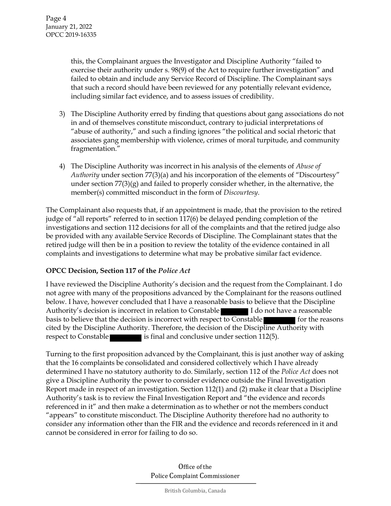this, the Complainant argues the Investigator and Discipline Authority "failed to exercise their authority under s. 98(9) of the Act to require further investigation" and failed to obtain and include any Service Record of Discipline. The Complainant says that such a record should have been reviewed for any potentially relevant evidence, including similar fact evidence, and to assess issues of credibility.

- 3) The Discipline Authority erred by finding that questions about gang associations do not in and of themselves constitute misconduct, contrary to judicial interpretations of "abuse of authority," and such a finding ignores "the political and social rhetoric that associates gang membership with violence, crimes of moral turpitude, and community fragmentation."
- 4) The Discipline Authority was incorrect in his analysis of the elements of *Abuse of Authority* under section 77(3)(a) and his incorporation of the elements of "Discourtesy" under section 77(3)(g) and failed to properly consider whether, in the alternative, the member(s) committed misconduct in the form of *Discourtesy*.

The Complainant also requests that, if an appointment is made, that the provision to the retired judge of "all reports" referred to in section 117(6) be delayed pending completion of the investigations and section 112 decisions for all of the complaints and that the retired judge also be provided with any available Service Records of Discipline. The Complainant states that the retired judge will then be in a position to review the totality of the evidence contained in all complaints and investigations to determine what may be probative similar fact evidence.

## **OPCC Decision, Section 117 of the** *Police Act*

I have reviewed the Discipline Authority's decision and the request from the Complainant. I do not agree with many of the propositions advanced by the Complainant for the reasons outlined below. I have, however concluded that I have a reasonable basis to believe that the Discipline Authority's decision is incorrect in relation to Constable **I do not have a reasonable** basis to believe that the decision is incorrect with respect to Constable for the reasons cited by the Discipline Authority. Therefore, the decision of the Discipline Authority with respect to Constable is final and conclusive under section 112(5).

Turning to the first proposition advanced by the Complainant, this is just another way of asking that the 16 complaints be consolidated and considered collectively which I have already determined I have no statutory authority to do. Similarly, section 112 of the *Police Act* does not give a Discipline Authority the power to consider evidence outside the Final Investigation Report made in respect of an investigation. Section 112(1) and (2) make it clear that a Discipline Authority's task is to review the Final Investigation Report and "the evidence and records referenced in it" and then make a determination as to whether or not the members conduct "appears" to constitute misconduct. The Discipline Authority therefore had no authority to consider any information other than the FIR and the evidence and records referenced in it and cannot be considered in error for failing to do so.

> Office of the Police Complaint Commissioner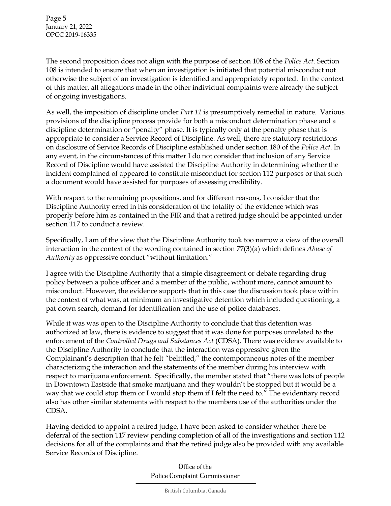The second proposition does not align with the purpose of section 108 of the *Police Act*. Section 108 is intended to ensure that when an investigation is initiated that potential misconduct not otherwise the subject of an investigation is identified and appropriately reported. In the context of this matter, all allegations made in the other individual complaints were already the subject of ongoing investigations.

As well, the imposition of discipline under *Part 11* is presumptively remedial in nature. Various provisions of the discipline process provide for both a misconduct determination phase and a discipline determination or "penalty" phase. It is typically only at the penalty phase that is appropriate to consider a Service Record of Discipline. As well, there are statutory restrictions on disclosure of Service Records of Discipline established under section 180 of the *Police Act*. In any event, in the circumstances of this matter I do not consider that inclusion of any Service Record of Discipline would have assisted the Discipline Authority in determining whether the incident complained of appeared to constitute misconduct for section 112 purposes or that such a document would have assisted for purposes of assessing credibility.

With respect to the remaining propositions, and for different reasons, I consider that the Discipline Authority erred in his consideration of the totality of the evidence which was properly before him as contained in the FIR and that a retired judge should be appointed under section 117 to conduct a review.

Specifically, I am of the view that the Discipline Authority took too narrow a view of the overall interaction in the context of the wording contained in section 77(3)(a) which defines *Abuse of Authority* as oppressive conduct "without limitation."

I agree with the Discipline Authority that a simple disagreement or debate regarding drug policy between a police officer and a member of the public, without more, cannot amount to misconduct. However, the evidence supports that in this case the discussion took place within the context of what was, at minimum an investigative detention which included questioning, a pat down search, demand for identification and the use of police databases.

While it was was open to the Discipline Authority to conclude that this detention was authorized at law, there is evidence to suggest that it was done for purposes unrelated to the enforcement of the *Controlled Drugs and Substances Act* (CDSA). There was evidence available to the Discipline Authority to conclude that the interaction was oppressive given the Complainant's description that he felt "belittled," the contemporaneous notes of the member characterizing the interaction and the statements of the member during his interview with respect to marijuana enforcement. Specifically, the member stated that "there was lots of people in Downtown Eastside that smoke marijuana and they wouldn't be stopped but it would be a way that we could stop them or I would stop them if I felt the need to." The evidentiary record also has other similar statements with respect to the members use of the authorities under the CDSA.

Having decided to appoint a retired judge, I have been asked to consider whether there be deferral of the section 117 review pending completion of all of the investigations and section 112 decisions for all of the complaints and that the retired judge also be provided with any available Service Records of Discipline.

> Office of the Police Complaint Commissioner